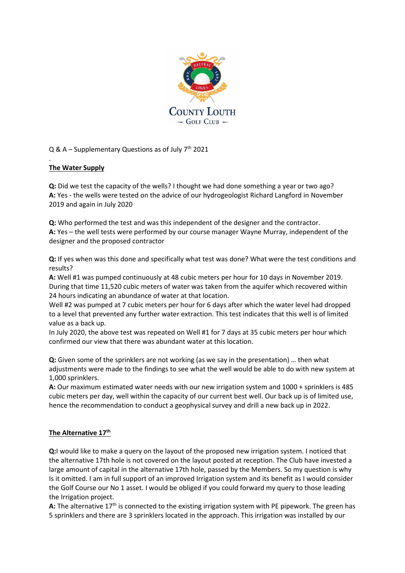

Q & A – Supplementary Questions as of July  $7<sup>th</sup>$  2021

# **The Water Supply**

.

**Q:** Did we test the capacity of the wells? I thought we had done something a year or two ago? **A:** Yes - the wells were tested on the advice of our hydrogeologist Richard Langford in November 2019 and again in July 2020

**Q:** Who performed the test and was this independent of the designer and the contractor. **A:** Yes – the well tests were performed by our course manager Wayne Murray, independent of the designer and the proposed contractor

**Q:** If yes when was this done and specifically what test was done? What were the test conditions and results?

**A:** Well #1 was pumped continuously at 48 cubic meters per hour for 10 days in November 2019. During that time 11,520 cubic meters of water was taken from the aquifer which recovered within 24 hours indicating an abundance of water at that location.

Well #2 was pumped at 7 cubic meters per hour for 6 days after which the water level had dropped to a level that prevented any further water extraction. This test indicates that this well is of limited value as a back up.

In July 2020, the above test was repeated on Well #1 for 7 days at 35 cubic meters per hour which confirmed our view that there was abundant water at this location.

**Q:** Given some of the sprinklers are not working (as we say in the presentation) … then what adjustments were made to the findings to see what the well would be able to do with new system at 1,000 sprinklers.

**A:** Our maximum estimated water needs with our new irrigation system and 1000 + sprinklers is 485 cubic meters per day, well within the capacity of our current best well. Our back up is of limited use, hence the recommendation to conduct a geophysical survey and drill a new back up in 2022.

# **The Alternative 17th**

**Q:**I would like to make a query on the layout of the proposed new irrigation system. I noticed that the alternative 17th hole is not covered on the layout posted at reception. The Club have invested a large amount of capital in the alternative 17th hole, passed by the Members. So my question is why Is it omitted. I am in full support of an improved Irrigation system and its benefit as I would consider the Golf Course our No 1 asset. I would be obliged if you could forward my query to those leading the Irrigation project.

A: The alternative 17<sup>th</sup> is connected to the existing irrigation system with PE pipework. The green has 5 sprinklers and there are 3 sprinklers located in the approach. This irrigation was installed by our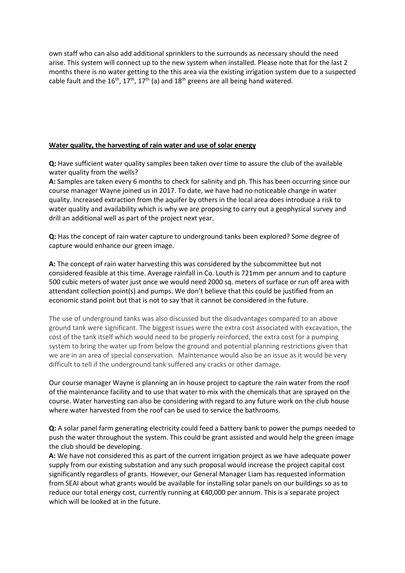own staff who can also add additional sprinklers to the surrounds as necessary should the need arise. This system will connect up to the new system when installed. Please note that for the last 2 months there is no water getting to the this area via the existing irrigation system due to a suspected cable fault and the  $16^{th}$ ,  $17^{th}$ ,  $17^{th}$  (a) and  $18^{th}$  greens are all being hand watered.

## **Water quality, the harvesting of rain water and use of solar energy**

**Q:** Have sufficient water quality samples been taken over time to assure the club of the available water quality from the wells?

**A:** Samples are taken every 6 months to check for salinity and ph. This has been occurring since our course manager Wayne joined us in 2017. To date, we have had no noticeable change in water quality. Increased extraction from the aquifer by others in the local area does introduce a risk to water quality and availability which is why we are proposing to carry out a geophysical survey and drill an additional well as part of the project next year.

**Q:** Has the concept of rain water capture to underground tanks been explored? Some degree of capture would enhance our green image.

**A:** The concept of rain water harvesting this was considered by the subcommittee but not considered feasible at this time. Average rainfall in Co. Louth is 721mm per annum and to capture 500 cubic meters of water just once we would need 2000 sq. meters of surface or run off area with attendant collection point(s) and pumps. We don't believe that this could be justified from an economic stand point but that is not to say that it cannot be considered in the future.

The use of underground tanks was also discussed but the disadvantages compared to an above ground tank were significant. The biggest issues were the extra cost associated with excavation, the cost of the tank itself which would need to be properly reinforced, the extra cost for a pumping system to bring the water up from below the ground and potential planning restrictions given that we are in an area of special conservation. Maintenance would also be an issue as it would be very difficult to tell if the underground tank suffered any cracks or other damage.

Our course manager Wayne is planning an in house project to capture the rain water from the roof of the maintenance facility and to use that water to mix with the chemicals that are sprayed on the course. Water harvesting can also be considering with regard to any future work on the club house where water harvested from the roof can be used to service the bathrooms.

**Q:** A solar panel farm generating electricity could feed a battery bank to power the pumps needed to push the water throughout the system. This could be grant assisted and would help the green image the club should be developing.

**A:** We have not considered this as part of the current irrigation project as we have adequate power supply from our existing substation and any such proposal would increase the project capital cost significantly regardless of grants. However, our General Manager Liam has requested information from SEAI about what grants would be available for installing solar panels on our buildings so as to reduce our total energy cost, currently running at €40,000 per annum. This is a separate project which will be looked at in the future.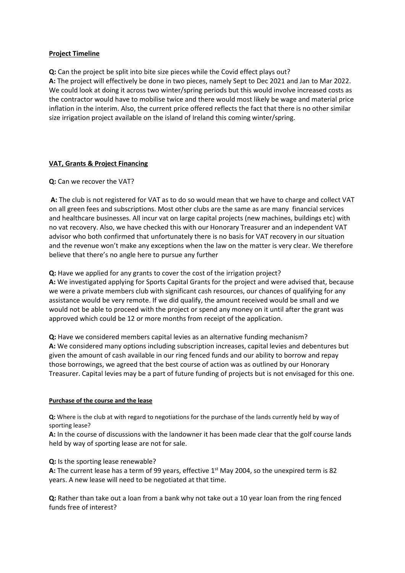## **Project Timeline**

**Q:** Can the project be split into bite size pieces while the Covid effect plays out?

**A:** The project will effectively be done in two pieces, namely Sept to Dec 2021 and Jan to Mar 2022. We could look at doing it across two winter/spring periods but this would involve increased costs as the contractor would have to mobilise twice and there would most likely be wage and material price inflation in the interim. Also, the current price offered reflects the fact that there is no other similar size irrigation project available on the island of Ireland this coming winter/spring.

# **VAT, Grants & Project Financing**

### **Q:** Can we recover the VAT?

**A:** The club is not registered for VAT as to do so would mean that we have to charge and collect VAT on all green fees and subscriptions. Most other clubs are the same as are many financial services and healthcare businesses. All incur vat on large capital projects (new machines, buildings etc) with no vat recovery. Also, we have checked this with our Honorary Treasurer and an independent VAT advisor who both confirmed that unfortunately there is no basis for VAT recovery in our situation and the revenue won't make any exceptions when the law on the matter is very clear. We therefore believe that there's no angle here to pursue any further

**Q:** Have we applied for any grants to cover the cost of the irrigation project?

**A:** We investigated applying for Sports Capital Grants for the project and were advised that, because we were a private members club with significant cash resources, our chances of qualifying for any assistance would be very remote. If we did qualify, the amount received would be small and we would not be able to proceed with the project or spend any money on it until after the grant was approved which could be 12 or more months from receipt of the application.

**Q:** Have we considered members capital levies as an alternative funding mechanism? **A:** We considered many options including subscription increases, capital levies and debentures but given the amount of cash available in our ring fenced funds and our ability to borrow and repay those borrowings, we agreed that the best course of action was as outlined by our Honorary Treasurer. Capital levies may be a part of future funding of projects but is not envisaged for this one.

### **Purchase of the course and the lease**

**Q:** Where is the club at with regard to negotiations for the purchase of the lands currently held by way of sporting lease?

**A:** In the course of discussions with the landowner it has been made clear that the golf course lands held by way of sporting lease are not for sale.

### **Q:** Is the sporting lease renewable?

A: The current lease has a term of 99 years, effective 1<sup>st</sup> May 2004, so the unexpired term is 82 years. A new lease will need to be negotiated at that time.

**Q:** Rather than take out a loan from a bank why not take out a 10 year loan from the ring fenced funds free of interest?